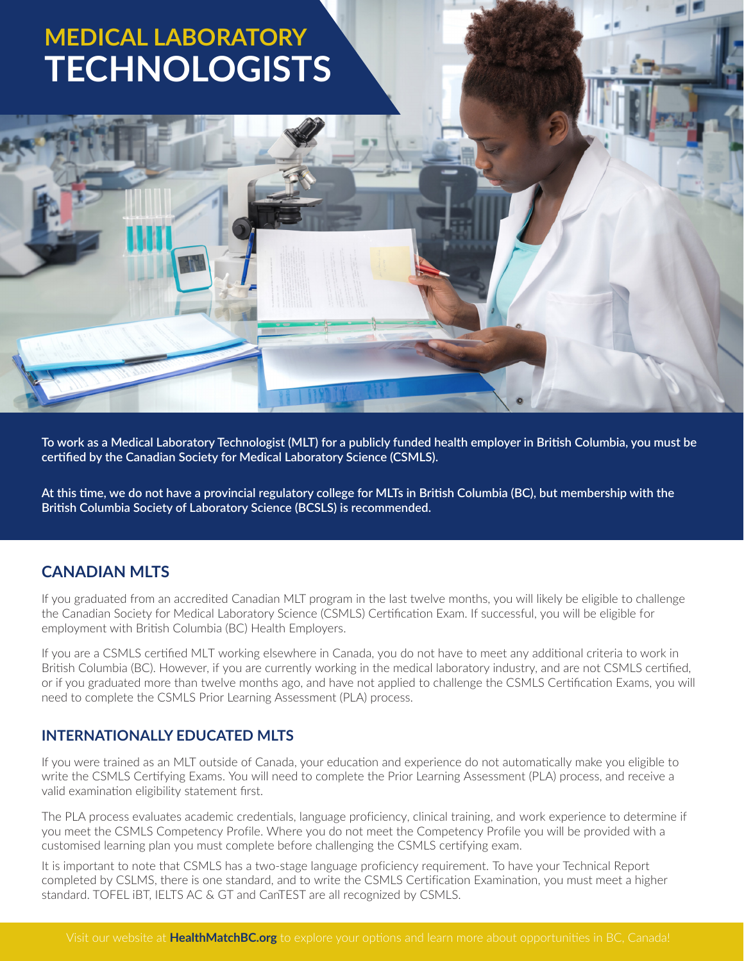# **MEDICAL LABORATORY [TECHNOLOGISTS](https://www.healthmatchbc.org/lp/MLT?utm_source=pdf&utm_medium=pdf&utm_campaign=MLT-Lic-Info-PDF-2021-05)**

**To work as a Medical Laboratory Technologist (MLT) for a publicly funded health employer in British Columbia, you must be certified by the Canadian Society for Medical Laboratory Science (CSMLS).**

**At this time, we do not have a provincial regulatory college for MLTs in British Columbia (BC), but membership with the British Columbia Society of Laboratory Science (BCSLS) is recommended.**

### **CANADIAN MLTS**

If you graduated from an accredited Canadian MLT program in the last twelve months, you will likely be eligible to challenge the Canadian Society for Medical Laboratory Science (CSMLS) Certification Exam. If successful, you will be eligible for employment with British Columbia (BC) Health Employers.

If you are a CSMLS certified MLT working elsewhere in Canada, you do not have to meet any additional criteria to work in British Columbia (BC). However, if you are currently working in the medical laboratory industry, and are not CSMLS certified, or if you graduated more than twelve months ago, and have not applied to challenge the CSMLS Certification Exams, you will need to complete the CSMLS Prior Learning Assessment (PLA) process.

### **INTERNATIONALLY EDUCATED MLTS**

If you were trained as an MLT outside of Canada, your education and experience do not automatically make you eligible to write the CSMLS Certifying Exams. You will need to complete the Prior Learning Assessment (PLA) process, and receive a valid examination eligibility statement first.

The PLA process evaluates academic credentials, language proficiency, clinical training, and work experience to determine if you meet the CSMLS Competency Profile. Where you do not meet the Competency Profile you will be provided with a customised learning plan you must complete before challenging the CSMLS certifying exam.

It is important to note that CSMLS has a two-stage language proficiency requirement. To have your Technical Report completed by CSLMS, there is one standard, and to write the CSMLS Certification Examination, you must meet a higher standard. TOFEL iBT, IELTS AC & GT and CanTEST are all recognized by CSMLS.